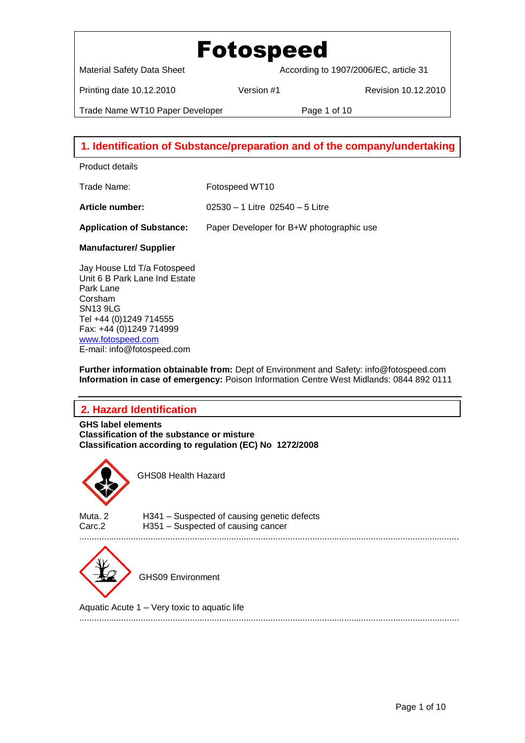Material Safety Data Sheet According to 1907/2006/EC, article 31

Printing date 10.12.2010 Version #1 Revision 10.12.2010

Trade Name WT10 Paper Developer Page 1 of 10

# **1. Identification of Substance/preparation and of the company/undertaking 1. Identification of Substance/preparation and of the company/undertaking**

Product details

Trade Name: Fotospeed WT10

**Article number:** 02530 – 1 Litre 02540 – 5 Litre

**Application of Substance:** Paper Developer for B+W photographic use

#### **Manufacturer/ Supplier**

Jay House Ltd T/a Fotospeed Unit 6 B Park Lane Ind Estate Park Lane Corsham SN13 9LG Tel +44 (0)1249 714555 Fax: +44 (0)1249 714999 [www.fotospeed.com](http://www.fotospeed.com/) E-mail: info@fotospeed.com

**Further information obtainable from:** Dept of Environment and Safety: info@fotospeed.com **Information in case of emergency:** Poison Information Centre West Midlands: 0844 892 0111

# **2. Hazard Identification 2. Hazard Identification**

**GHS label elements Classification of the substance or misture Classification according to regulation (EC) No 1272/2008**



GHS08 Health Hazard

Muta. 2 H341 – Suspected of causing genetic defects Carc.2 H351 – Suspected of causing cancer



Aquatic Acute 1 – Very toxic to aquatic life

...........................................................................................................................................................

...........................................................................................................................................................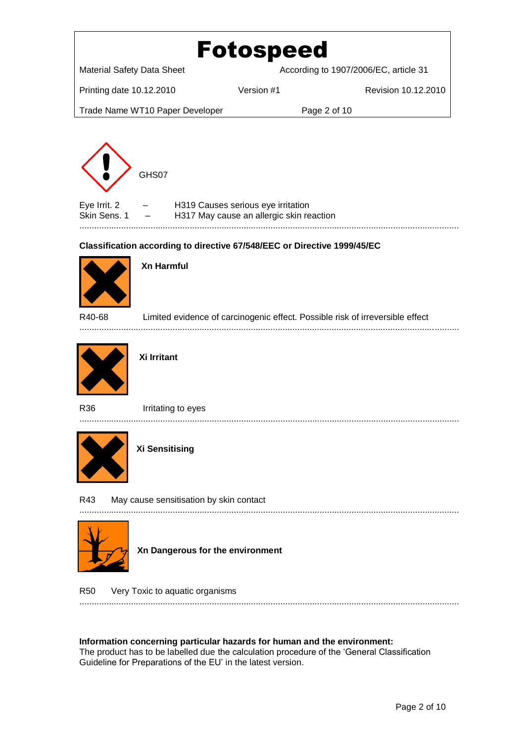

#### **Information concerning particular hazards for human and the environment:**

The product has to be labelled due the calculation procedure of the 'General Classification Guideline for Preparations of the EU' in the latest version.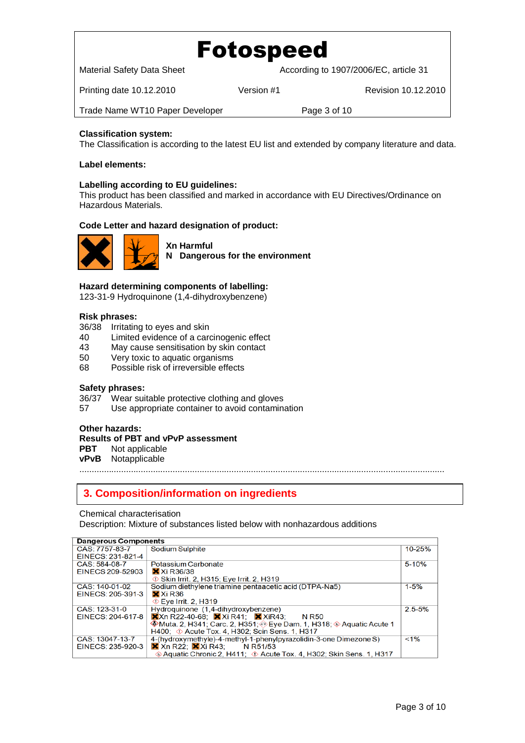Material Safety Data Sheet According to 1907/2006/EC, article 31

Printing date 10.12.2010 Version #1 Revision 10.12.2010

Trade Name WT10 Paper Developer Page 3 of 10

**Classification system:**

The Classification is according to the latest EU list and extended by company literature and data.

#### **Label elements:**

#### **Labelling according to EU guidelines:**

This product has been classified and marked in accordance with EU Directives/Ordinance on Hazardous Materials.

#### **Code Letter and hazard designation of product:**



**Xn Harmful N Dangerous for the environment**

#### **Hazard determining components of labelling:**

123-31-9 Hydroquinone (1,4-dihydroxybenzene)

#### **Risk phrases:**

36/38 Irritating to eyes and skin

- 40 Limited evidence of a carcinogenic effect
- 43 May cause sensitisation by skin contact
- 50 Very toxic to aquatic organisms
- 68 Possible risk of irreversible effects

#### **Safety phrases:**

36/37 Wear suitable protective clothing and gloves

57 Use appropriate container to avoid contamination

#### **Other hazards:**

**Results of PBT and vPvP assessment**

**PBT** Not applicable

**vPvB** Notapplicable

.....................................................................................................................................................

### **3. Composition/information on ingredients 3. Composition/information on ingredients**

#### Chemical characterisation

Description: Mixture of substances listed below with nonhazardous additions

| <b>Dangerous Components</b> |                                                                                             |            |
|-----------------------------|---------------------------------------------------------------------------------------------|------------|
| CAS: 7757-83-7              | Sodium Sulphite                                                                             | 10-25%     |
| EINECS: 231-821-4           |                                                                                             |            |
| CAS: 584-08-7               | Potassium Carbonate                                                                         | 5-10%      |
| EINECS 209-52903            | <b>X</b> Xi R36/38                                                                          |            |
|                             | Skin Irrit. 2, H315; Eye Irrit. 2, H319                                                     |            |
| CAS: 140-01-02              | Sodium diethylene triamine pentaacetic acid (DTPA-Na5)                                      | $1 - 5%$   |
| EINECS: 205-391-3           | $\mathsf{\mathbf{X}}$ Xi R36                                                                |            |
|                             | <b>① Eve Irrit. 2. H319</b>                                                                 |            |
| CAS: 123-31-0               | Hydroguinone (1,4-dihydroxybenzene)                                                         | $2.5 - 5%$ |
| EINECS: 204-617-8           | <b>X</b> Xn R22-40-68; <b>X</b> Xi R41; <b>X</b> XiR43;<br>N R50                            |            |
|                             | <b>Ve Muta, 2, H341; Carc, 2, H351; e Eye Dam, 1, H318; Aquatic Acute 1</b>                 |            |
|                             | H400: C Acute Tox. 4. H302: Scin Sens. 1. H317                                              |            |
| CAS: 13047-13-7             | 4-(hydroxymethyle)-4-methyl-1-phenylpyrazolidin-3-one Dimezone S)                           | < 1%       |
| EINECS: 235-920-3           | <b>X</b> Xn R22: $X$ Xi R43: N R51/53                                                       |            |
|                             | $\circledast$ Aquatic Chronic 2, H411; $\circledast$ Acute Tox, 4, H302; Skin Sens, 1, H317 |            |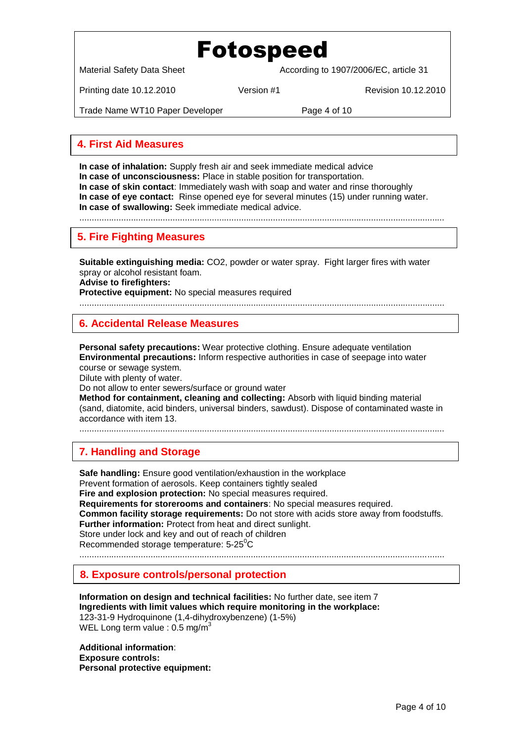Material Safety Data Sheet According to 1907/2006/EC, article 31

Printing date 10.12.2010 Version #1 Revision 10.12.2010

Trade Name WT10 Paper Developer Page 4 of 10

### **4. First Aid Measures 4. First Aid Measures**

**In case of inhalation:** Supply fresh air and seek immediate medical advice **In case of unconsciousness:** Place in stable position for transportation. **In case of skin contact**: Immediately wash with soap and water and rinse thoroughly **In case of eye contact:** Rinse opened eye for several minutes (15) under running water. **In case of swallowing:** Seek immediate medical advice.

.....................................................................................................................................................

# **5. Fire Fighting Measures 5. Fire Fighting Measures**

**Suitable extinguishing media:** CO2, powder or water spray. Fight larger fires with water spray or alcohol resistant foam.

**Advise to firefighters:**

**Protective equipment:** No special measures required

.....................................................................................................................................................

### **6. Accidental Release Measures**

**Personal safety precautions:** Wear protective clothing. Ensure adequate ventilation **Environmental precautions:** Inform respective authorities in case of seepage into water course or sewage system.

Dilute with plenty of water.

Do not allow to enter sewers/surface or ground water

**Method for containment, cleaning and collecting:** Absorb with liquid binding material (sand, diatomite, acid binders, universal binders, sawdust). Dispose of contaminated waste in accordance with item 13. **6. Accidental Release Measures**<br> **Personal safety precautions:** Wear pro<br> **Environmental precautions:** Inform res<br>
course or sewage system.<br>
Dilute with plenty of water.<br>
Do not allow to enter sewers/surface or g<br> **Method** 

.....................................................................................................................................................

## **7. Handling and Storage**

**Safe handling:** Ensure good ventilation/exhaustion in the workplace Prevent formation of aerosols. Keep containers tightly sealed **Fire and explosion protection:** No special measures required. **Requirements for storerooms and containers**: No special measures required. **Common facility storage requirements:** Do not store with acids store away from foodstuffs. **Further information:** Protect from heat and direct sunlight. Store under lock and key and out of reach of children Recommended storage temperature:  $5-25^{\circ}$ C

.....................................................................................................................................................

## **8. Exposure controls/personal protection 8. Exposure controls/personal protection**

**Information on design and technical facilities:** No further date, see item 7 **Ingredients with limit values which require monitoring in the workplace:** 123-31-9 Hydroquinone (1,4-dihydroxybenzene) (1-5%) WEL Long term value :  $0.5 \text{ mg/m}^3$ 

**Additional information**: **Exposure controls: Personal protective equipment:**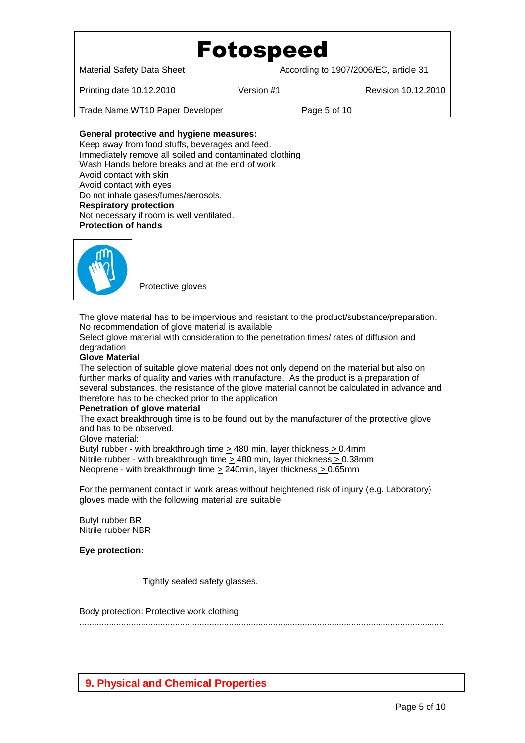Material Safety Data Sheet According to 1907/2006/EC, article 31

Printing date 10.12.2010 Version #1 Revision 10.12.2010

Trade Name WT10 Paper Developer Page 5 of 10

#### **General protective and hygiene measures:**

Keep away from food stuffs, beverages and feed. Immediately remove all soiled and contaminated clothing Wash Hands before breaks and at the end of work Avoid contact with skin Avoid contact with eyes Do not inhale gases/fumes/aerosols. **Respiratory protection** Not necessary if room is well ventilated. **Protection of hands**



Protective gloves

The glove material has to be impervious and resistant to the product/substance/preparation. No recommendation of glove material is available

Select glove material with consideration to the penetration times/ rates of diffusion and degradation

#### **Glove Material**

The selection of suitable glove material does not only depend on the material but also on further marks of quality and varies with manufacture. As the product is a preparation of several substances, the resistance of the glove material cannot be calculated in advance and therefore has to be checked prior to the application

#### **Penetration of glove material**

The exact breakthrough time is to be found out by the manufacturer of the protective glove and has to be observed.

#### Glove material:

Butyl rubber - with breakthrough time  $\geq$  480 min, layer thickness  $\geq$  0.4mm Nitrile rubber - with breakthrough time > 480 min, layer thickness > 0.38mm Neoprene - with breakthrough time  $\geq$  240min, layer thickness  $\geq$  0.65mm

For the permanent contact in work areas without heightened risk of injury (e.g. Laboratory) gloves made with the following material are suitable

Butyl rubber BR Nitrile rubber NBR

#### **Eye protection:**

Tightly sealed safety glasses.

Body protection: Protective work clothing

.....................................................................................................................................................

### **9. Physical and Chemical Properties**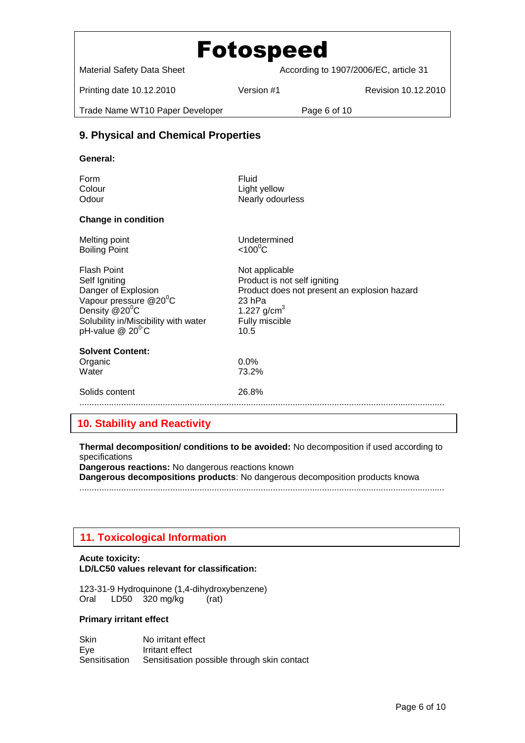| <b>Fotospeed</b>                    |                                       |                     |  |
|-------------------------------------|---------------------------------------|---------------------|--|
| <b>Material Safety Data Sheet</b>   | According to 1907/2006/EC, article 31 |                     |  |
| Printing date 10.12.2010            | Version #1                            | Revision 10.12.2010 |  |
| Trade Name WT10 Paper Developer     |                                       | Page 6 of 10        |  |
| 9. Physical and Chemical Properties |                                       |                     |  |
| General:                            |                                       |                     |  |

## Form Fluid Colour Colour Light yellow<br>
Colour Colour Colour Colour Nearly odourless **Change in condition** Melting point Undetermined<br>Boiling Point Care Control 200<sup>0</sup>C Boiling Point Flash Point Not applicable Self Igniting<br>
Danger of Explosion<br>
Product does not present and product does not present and product does not present and product of the Product of Product of Product August 2013<br>
Product does not present and product does Product does not present an explosion hazard<br>23 hPa Vapour pressure  $@20^{\circ}C$ Density  $@20^0C$  1.227 g/cm<sup>3</sup> Solubility in/Miscibility with water Fully miscible  $pH$ -value  $@ 20^0C$  10.5 **Solvent Content:** Organic 0.0%<br>Water 73.2% 73.2% Solids content 26.8% .....................................................................................................................................................

### **10. Stability and Reactivity 10. Stability and Reactivity**

**Thermal decomposition/ conditions to be avoided:** No decomposition if used according to specifications

**Dangerous reactions:** No dangerous reactions known **Dangerous decompositions products**: No dangerous decomposition products knowa

.....................................................................................................................................................

# **11. Toxicological Information**

#### **Acute toxicity: LD/LC50 values relevant for classification:**

123-31-9 Hydroquinone (1,4-dihydroxybenzene) Oral LD50 320 mg/kg (rat)

#### **Primary irritant effect**

Skin No irritant effect Eye Irritant effect Sensitisation Sensitisation possible through skin contact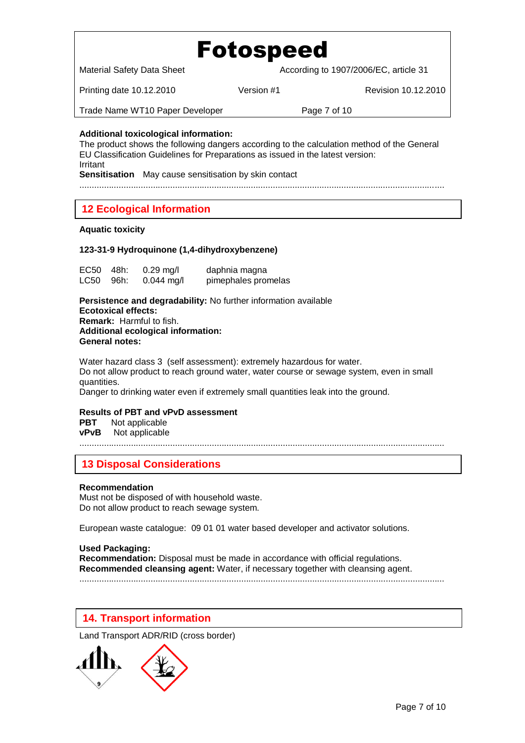Material Safety Data Sheet According to 1907/2006/EC, article 31

Printing date 10.12.2010 Version #1 Revision 10.12.2010

Trade Name WT10 Paper Developer Page 7 of 10

#### **Additional toxicological information:**

The product shows the following dangers according to the calculation method of the General EU Classification Guidelines for Preparations as issued in the latest version: Irritant

**Sensitisation** May cause sensitisation by skin contact

.....................................................................................................................................................

# **12 Ecological Information 12 Ecological Information**

#### **Aquatic toxicity**

#### **123-31-9 Hydroquinone (1,4-dihydroxybenzene)**

| EC50 48h: | $0.29$ mg/l  | daphnia magna       |
|-----------|--------------|---------------------|
| LC50 96h: | $0.044$ mg/l | pimephales promelas |

**Persistence and degradability:** No further information available **Ecotoxical effects: Remark:** Harmful to fish. **Additional ecological information: General notes:**

Water hazard class 3 (self assessment): extremely hazardous for water. Do not allow product to reach ground water, water course or sewage system, even in small quantities. Danger to drinking water even if extremely small quantities leak into the ground.

#### **Results of PBT and vPvD assessment**

**PBT** Not applicable **vPvB** Not applicable

.....................................................................................................................................................

## **13 Disposal Considerations 13 Disposal Considerations**

#### **Recommendation**

Must not be disposed of with household waste. Do not allow product to reach sewage system.

European waste catalogue: 09 01 01 water based developer and activator solutions.

## **Used Packaging:**

**Recommendation:** Disposal must be made in accordance with official regulations. **Recommended cleansing agent:** Water, if necessary together with cleansing agent. .....................................................................................................................................................

**14. Transport information 14. Transport information**

Land Transport ADR/RID (cross border)

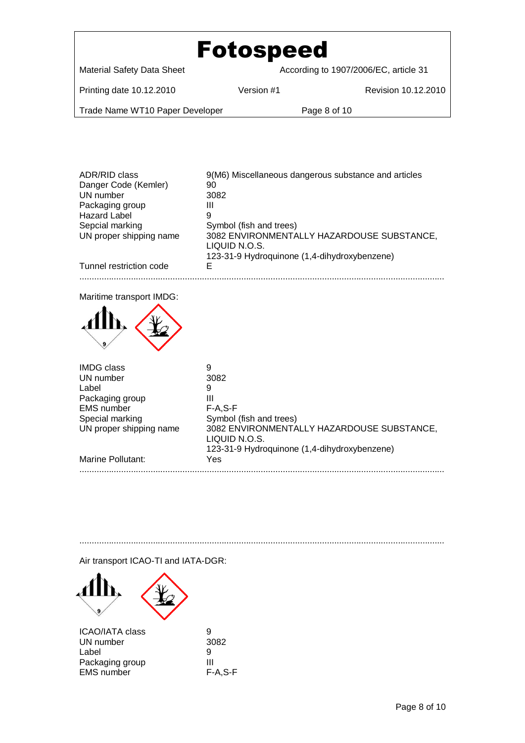| <b>Fotospeed</b>                  |            |                                       |  |
|-----------------------------------|------------|---------------------------------------|--|
| <b>Material Safety Data Sheet</b> |            | According to 1907/2006/EC, article 31 |  |
| Printing date 10.12.2010          | Version #1 | Revision 10.12.2010                   |  |
| Trade Name WT10 Paper Developer   |            | Page 8 of 10                          |  |

| ADR/RID class<br>Danger Code (Kemler)<br>UN number<br>Packaging group<br><b>Hazard Label</b><br>Sepcial marking | 9(M6) Miscellaneous dangerous substance and articles<br>90<br>3082<br>Ш<br>9<br>Symbol (fish and trees)     |
|-----------------------------------------------------------------------------------------------------------------|-------------------------------------------------------------------------------------------------------------|
| UN proper shipping name                                                                                         | 3082 ENVIRONMENTALLY HAZARDOUSE SUBSTANCE,<br>LIQUID N.O.S.<br>123-31-9 Hydroquinone (1,4-dihydroxybenzene) |
| Tunnel restriction code                                                                                         | Е                                                                                                           |
|                                                                                                                 |                                                                                                             |

Maritime transport IMDG:



| IMDG class              | 9                                            |
|-------------------------|----------------------------------------------|
| UN number               | 3082                                         |
| Label                   | 9                                            |
| Packaging group         | Ш                                            |
| EMS number              | $F-A.S-F$                                    |
| Special marking         | Symbol (fish and trees)                      |
| UN proper shipping name | 3082 ENVIRONMENTALLY HAZARDOUSE SUBSTANCE,   |
|                         | LIQUID N.O.S.                                |
|                         | 123-31-9 Hydroquinone (1,4-dihydroxybenzene) |
| Marine Pollutant:       | Yes                                          |
|                         |                                              |

.....................................................................................................................................................

Air transport ICAO-TI and IATA-DGR:



| <b>ICAO/IATA class</b> | 9          |
|------------------------|------------|
| UN number              | 3082       |
| Label                  | 9          |
| Packaging group        | ш          |
| <b>EMS</b> number      | $F-A, S-F$ |
|                        |            |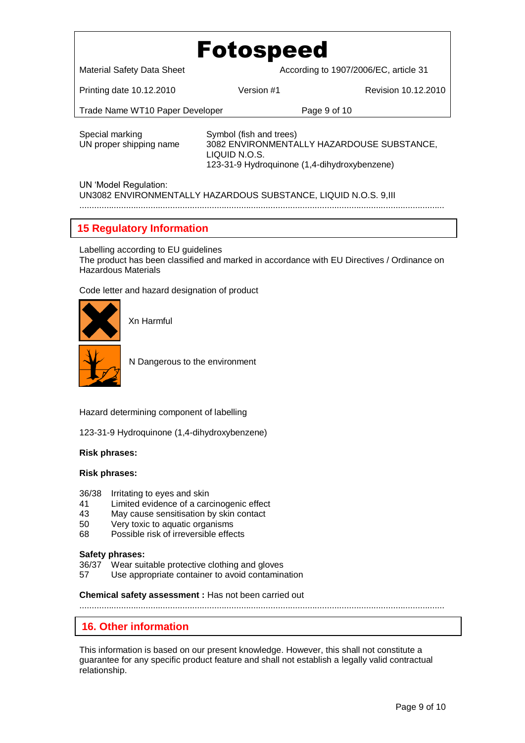Material Safety Data Sheet According to 1907/2006/EC, article 31

Printing date 10.12.2010 Version #1 Revision 10.12.2010

Trade Name WT10 Paper Developer Page 9 of 10

Special marking Symbol (fish and trees)

UN proper shipping name 3082 ENVIRONMENTALLY HAZARDOUSE SUBSTANCE, LIQUID N.O.S. 123-31-9 Hydroquinone (1,4-dihydroxybenzene)

UN 'Model Regulation:

UN3082 ENVIRONMENTALLY HAZARDOUS SUBSTANCE, LIQUID N.O.S. 9,III

.....................................................................................................................................................

# **15 Regulatory Information 15 Regulatory Information**

Labelling according to EU guidelines The product has been classified and marked in accordance with EU Directives / Ordinance on Hazardous Materials **14. Transport information**

Code letter and hazard designation of product



Xn Harmful



N Dangerous to the environment

Hazard determining component of labelling

123-31-9 Hydroquinone (1,4-dihydroxybenzene)

#### **Risk phrases:**

#### **Risk phrases:**

- 36/38 Irritating to eyes and skin
- 41 Limited evidence of a carcinogenic effect
- 43 May cause sensitisation by skin contact
- 50 Very toxic to aquatic organisms
- 68 Possible risk of irreversible effects

#### **Safety phrases:**

- 36/37 Wear suitable protective clothing and gloves
- 57 Use appropriate container to avoid contamination

**Chemical safety assessment :** Has not been carried out

.....................................................................................................................................................

#### **16. Other information 16. Other information**

This information is based on our present knowledge. However, this shall not constitute a **14. Transport information** guarantee for any specific product feature and shall not establish a legally valid contractual relationship.